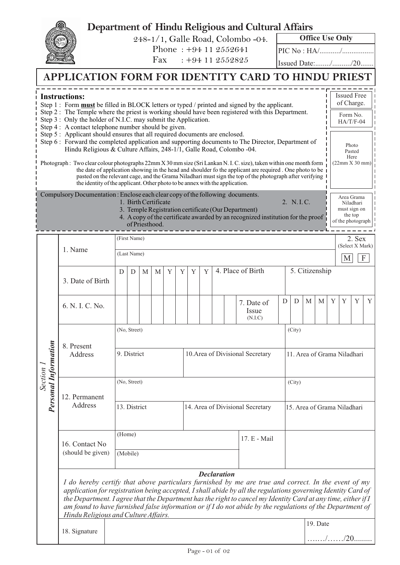## **Department of Hindu Religious and Cultural Affairs**

248-1/1, Galle Road, Colombo -04.

Phone : +94 11 2552641 Fax : +94 11 2552825 **Office Use Only**

PIC No : HA/.........../.................

Issued Date:......../........../20.......

….…/……/20.........

|                                            | APPLICATION FORM FOR IDENTITY CARD TO HINDU PRIEST                                                                                                                                                                                                                                                                                                                                                                                                                                                                                                                                                                                                                                                                                                                                                                                                                                                                                                                                                                                               |              |                             |   |                                        |   |   |                                  |   |                   |  |                                                                                                                                        |        |                                       |                |                  |        |                                                                                                         |   |   |
|--------------------------------------------|--------------------------------------------------------------------------------------------------------------------------------------------------------------------------------------------------------------------------------------------------------------------------------------------------------------------------------------------------------------------------------------------------------------------------------------------------------------------------------------------------------------------------------------------------------------------------------------------------------------------------------------------------------------------------------------------------------------------------------------------------------------------------------------------------------------------------------------------------------------------------------------------------------------------------------------------------------------------------------------------------------------------------------------------------|--------------|-----------------------------|---|----------------------------------------|---|---|----------------------------------|---|-------------------|--|----------------------------------------------------------------------------------------------------------------------------------------|--------|---------------------------------------|----------------|------------------|--------|---------------------------------------------------------------------------------------------------------|---|---|
|                                            | <b>Instructions:</b><br>Step 1: Form <b>must</b> be filled in BLOCK letters or typed / printed and signed by the applicant.<br>Step 2: The Temple where the priest is working should have been registered with this Department.<br>Step 3: Only the holder of N.I.C. may submit the Application.<br>Step 4 : A contact telephone number should be given.<br>Step 5: Applicant should ensures that all required documents are enclosed.<br>Step 6: Forward the completed application and supporting documents to The Director, Department of<br>Hindu Religious & Culture Affairs, 248-1/1, Galle Road, Colombo -04.<br>Photograph: Two clear colour photographs 22mm X 30 mm size (Sri Lankan N. I. C. size), taken within one month form<br>the date of application showing in the head and shoulder fo the applicant are required. One photo to be<br>pasted on the relevant cage, and the Grama Niladhari must sign the top of the photograph after verifying<br>the identity of the applicant. Other photo to be annex with the application. |              |                             |   |                                        |   |   |                                  |   |                   |  |                                                                                                                                        |        |                                       |                |                  |        | <b>Issued Free</b><br>of Charge.<br>Form No.<br>$HA/T/F-04$<br>Photo<br>Pasted<br>Here<br>(22mm X 30mm) |   |   |
|                                            | Compulsory Documentation: Enclose each clear copy of the following documents.                                                                                                                                                                                                                                                                                                                                                                                                                                                                                                                                                                                                                                                                                                                                                                                                                                                                                                                                                                    |              |                             |   | 1. Birth Certificate<br>of Priesthood. |   |   |                                  |   |                   |  | 3. Temple Registration certificate (Our Department)<br>4. A copy of the certificate awarded by an recognized institution for the proof |        | 2. N.I.C.                             |                |                  |        | Area Grama<br>Niladhari<br>must sign on<br>the top<br>of the photograph                                 |   |   |
|                                            | 1. Name                                                                                                                                                                                                                                                                                                                                                                                                                                                                                                                                                                                                                                                                                                                                                                                                                                                                                                                                                                                                                                          |              | (First Name)                |   |                                        |   |   |                                  |   |                   |  |                                                                                                                                        |        |                                       |                | (Select X Mark)  | 2. Sex |                                                                                                         |   |   |
| rmation<br><b>Section</b><br>Personal Info |                                                                                                                                                                                                                                                                                                                                                                                                                                                                                                                                                                                                                                                                                                                                                                                                                                                                                                                                                                                                                                                  | (Last Name)  |                             |   |                                        |   |   |                                  |   |                   |  |                                                                                                                                        |        |                                       | M              | $\boldsymbol{F}$ |        |                                                                                                         |   |   |
|                                            | 3. Date of Birth                                                                                                                                                                                                                                                                                                                                                                                                                                                                                                                                                                                                                                                                                                                                                                                                                                                                                                                                                                                                                                 | D            | D                           | M | M                                      | Y | Y | Y                                | Y | 4. Place of Birth |  |                                                                                                                                        |        |                                       | 5. Citizenship |                  |        |                                                                                                         |   |   |
|                                            | 6. N. I. C. No.                                                                                                                                                                                                                                                                                                                                                                                                                                                                                                                                                                                                                                                                                                                                                                                                                                                                                                                                                                                                                                  |              |                             |   |                                        |   |   |                                  |   |                   |  | 7. Date of<br>Issue<br>(N.I.C)                                                                                                         |        | D<br>D                                | M              | M                | Y      | Y                                                                                                       | Y | Y |
|                                            | 8. Present<br>Address                                                                                                                                                                                                                                                                                                                                                                                                                                                                                                                                                                                                                                                                                                                                                                                                                                                                                                                                                                                                                            |              | (No, Street)<br>9. District |   |                                        |   |   | 10. Area of Divisional Secretary |   |                   |  |                                                                                                                                        |        | (City)<br>11. Area of Grama Niladhari |                |                  |        |                                                                                                         |   |   |
|                                            | 12. Permanent<br>Address                                                                                                                                                                                                                                                                                                                                                                                                                                                                                                                                                                                                                                                                                                                                                                                                                                                                                                                                                                                                                         | (No, Street) |                             |   |                                        |   |   |                                  |   |                   |  |                                                                                                                                        | (City) |                                       |                |                  |        |                                                                                                         |   |   |
|                                            |                                                                                                                                                                                                                                                                                                                                                                                                                                                                                                                                                                                                                                                                                                                                                                                                                                                                                                                                                                                                                                                  | 13. District |                             |   |                                        |   |   | 14. Area of Divisional Secretary |   |                   |  |                                                                                                                                        |        | 15. Area of Grama Niladhari           |                |                  |        |                                                                                                         |   |   |
|                                            | 16. Contact No<br>(should be given)                                                                                                                                                                                                                                                                                                                                                                                                                                                                                                                                                                                                                                                                                                                                                                                                                                                                                                                                                                                                              | (Home)       | (Mobile)                    |   |                                        |   |   |                                  |   |                   |  | 17. E - Mail                                                                                                                           |        |                                       |                |                  |        |                                                                                                         |   |   |
|                                            | <b>Declaration</b><br>I do hereby certify that above particulars furnished by me are true and correct. In the event of my<br>application for registration being accepted, I shall abide by all the regulations governing Identity Card of<br>the Department. I agree that the Department has the right to cancel my Identity Card at any time, either if I<br>am found to have furnished false information or if I do not abide by the regulations of the Department of<br>Hindu Religious and Culture Affairs.                                                                                                                                                                                                                                                                                                                                                                                                                                                                                                                                  |              |                             |   |                                        |   |   |                                  |   |                   |  |                                                                                                                                        |        |                                       |                |                  |        |                                                                                                         |   |   |
|                                            | 18. Signature                                                                                                                                                                                                                                                                                                                                                                                                                                                                                                                                                                                                                                                                                                                                                                                                                                                                                                                                                                                                                                    |              |                             |   |                                        |   |   |                                  |   |                   |  |                                                                                                                                        |        |                                       |                | 19. Date         |        |                                                                                                         |   |   |